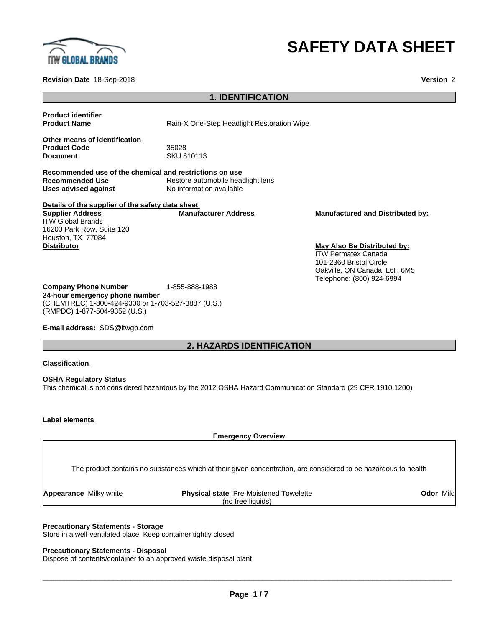

# **SAFETY DATA SHEET**

**Revision Date** 18-Sep-2018 **Version** 2

# **1. IDENTIFICATION**

**Product identifier**

**Product Name Rain-X One-Step Headlight Restoration Wipe** 

**Other means of identification** Product Code 35028<br> **Document** SKU 6

**Document** SKU 610113

**Recommended use of the chemical and restrictions on use Recommended Use** Restore automobile headlight lens<br> **Uses advised against** No information available **No information available** 

**Details of the supplier of the safety data sheet Supplier Address** ITW Global Brands 16200 Park Row, Suite 120 Houston, TX 77084 **Distributor May Also Be Distributed by:**

**Manufacturer Address Manufactured and Distributed by:**

ITW Permatex Canada 101-2360 Bristol Circle Oakville, ON Canada L6H 6M5 Telephone: (800) 924-6994

**Company Phone Number** 1-855-888-1988 **24-hour emergency phone number** (CHEMTREC) 1-800-424-9300 or 1-703-527-3887 (U.S.) (RMPDC) 1-877-504-9352 (U.S.)

**E-mail address:** SDS@itwgb.com

# **2. HAZARDS IDENTIFICATION**

#### **Classification**

**OSHA Regulatory Status** This chemical is not considered hazardous by the 2012 OSHA Hazard Communication Standard (29 CFR 1910.1200)

#### **Label elements**

**Appearance** 

**Emergency Overview** The product contains no substances which at their given concentration, are considered to be hazardous to health

| Milky white | Pre-Moistened<br><b>Physical state</b><br>Towelette | Mild<br>Odor |
|-------------|-----------------------------------------------------|--------------|
|             | (no free liauids)                                   |              |
|             |                                                     |              |

 $\overline{\phantom{a}}$  ,  $\overline{\phantom{a}}$  ,  $\overline{\phantom{a}}$  ,  $\overline{\phantom{a}}$  ,  $\overline{\phantom{a}}$  ,  $\overline{\phantom{a}}$  ,  $\overline{\phantom{a}}$  ,  $\overline{\phantom{a}}$  ,  $\overline{\phantom{a}}$  ,  $\overline{\phantom{a}}$  ,  $\overline{\phantom{a}}$  ,  $\overline{\phantom{a}}$  ,  $\overline{\phantom{a}}$  ,  $\overline{\phantom{a}}$  ,  $\overline{\phantom{a}}$  ,  $\overline{\phantom{a}}$ 

**Precautionary Statements - Storage** Store in a well-ventilated place. Keep container tightly closed

#### **Precautionary Statements - Disposal**

Dispose of contents/container to an approved waste disposal plant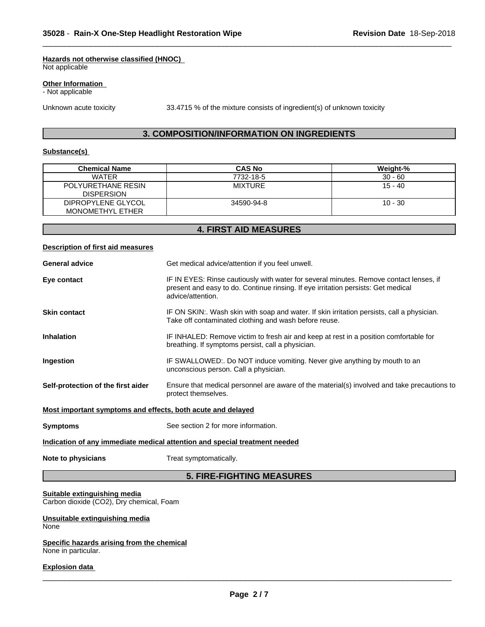#### **Hazards not otherwise classified (HNOC)**

Not applicable

#### **Other Information**

- Not applicable

Unknown acute toxicity 33.4715 % of the mixture consists of ingredient(s) of unknown toxicity

 $\overline{\phantom{a}}$  ,  $\overline{\phantom{a}}$  ,  $\overline{\phantom{a}}$  ,  $\overline{\phantom{a}}$  ,  $\overline{\phantom{a}}$  ,  $\overline{\phantom{a}}$  ,  $\overline{\phantom{a}}$  ,  $\overline{\phantom{a}}$  ,  $\overline{\phantom{a}}$  ,  $\overline{\phantom{a}}$  ,  $\overline{\phantom{a}}$  ,  $\overline{\phantom{a}}$  ,  $\overline{\phantom{a}}$  ,  $\overline{\phantom{a}}$  ,  $\overline{\phantom{a}}$  ,  $\overline{\phantom{a}}$ 

### **3. COMPOSITION/INFORMATION ON INGREDIENTS**

#### **Substance(s)**

| <b>Chemical Name</b>                    | <b>CAS No</b>  | Weight-%  |
|-----------------------------------------|----------------|-----------|
| <b>WATER</b>                            | 7732-18-5      | $30 - 60$ |
| POLYURETHANE RESIN<br><b>DISPERSION</b> | <b>MIXTURE</b> | 15 - 40   |
| DIPROPYLENE GLYCOL                      | 34590-94-8     | $10 - 30$ |
| <b>MONOMETHYL ETHER</b>                 |                |           |

#### **4. FIRST AID MEASURES**

# **Description of first aid measures General advice** Get medical advice/attention if you feel unwell. **Eye contact IF IN EYES: Rinse cautiously with water for several minutes. Remove contact lenses, if** present and easy to do. Continue rinsing. If eye irritation persists: Get medical advice/attention. **Skin contact** IF ON SKIN:. Wash skin with soap and water. If skin irritation persists, call a physician. Take off contaminated clothing and wash before reuse. **Inhalation** IF INHALED: Remove victim to fresh air and keep at rest in a position comfortable for breathing. If symptoms persist, call a physician. **Ingestion IF SWALLOWED:. Do NOT induce vomiting. Never give anything by mouth to an** unconscious person. Call a physician. **Self-protection of the first aider** Ensure that medical personnel are aware of the material(s) involved and take precautions to protect themselves. **Most important symptoms and effects, both acute and delayed Symptoms** See section 2 for more information. **Indication of any immediate medical attention and special treatment needed**

#### **Note to physicians** Treat symptomatically.

# **5. FIRE-FIGHTING MEASURES**

#### **Suitable extinguishing media**

Carbon dioxide (CO2), Dry chemical, Foam

#### **Unsuitable extinguishing media** None

#### **Specific hazards arising from the chemical** None in particular.

#### **Explosion data**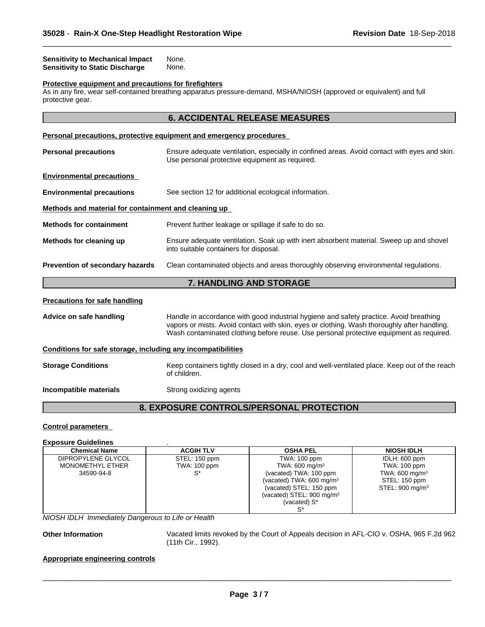| <b>Sensitivity to Mechanical Impact</b> | None. |
|-----------------------------------------|-------|
| Sensitivity to Static Discharge         | None. |

#### **Protective equipment and precautions for firefighters**

As in any fire, wear self-contained breathing apparatus pressure-demand, MSHA/NIOSH (approved or equivalent) and full protective gear.

# **6. ACCIDENTAL RELEASE MEASURES**

 $\overline{\phantom{a}}$  ,  $\overline{\phantom{a}}$  ,  $\overline{\phantom{a}}$  ,  $\overline{\phantom{a}}$  ,  $\overline{\phantom{a}}$  ,  $\overline{\phantom{a}}$  ,  $\overline{\phantom{a}}$  ,  $\overline{\phantom{a}}$  ,  $\overline{\phantom{a}}$  ,  $\overline{\phantom{a}}$  ,  $\overline{\phantom{a}}$  ,  $\overline{\phantom{a}}$  ,  $\overline{\phantom{a}}$  ,  $\overline{\phantom{a}}$  ,  $\overline{\phantom{a}}$  ,  $\overline{\phantom{a}}$ 

|                                                              | <u>Personal precautions, protective equipment and emergency procedures</u>                                                                                                                                                                                                       |  |
|--------------------------------------------------------------|----------------------------------------------------------------------------------------------------------------------------------------------------------------------------------------------------------------------------------------------------------------------------------|--|
| <b>Personal precautions</b>                                  | Ensure adequate ventilation, especially in confined areas. Avoid contact with eyes and skin.<br>Use personal protective equipment as required.                                                                                                                                   |  |
| <b>Environmental precautions</b>                             |                                                                                                                                                                                                                                                                                  |  |
| <b>Environmental precautions</b>                             | See section 12 for additional ecological information.                                                                                                                                                                                                                            |  |
| Methods and material for containment and cleaning up         |                                                                                                                                                                                                                                                                                  |  |
| <b>Methods for containment</b>                               | Prevent further leakage or spillage if safe to do so.                                                                                                                                                                                                                            |  |
| Methods for cleaning up                                      | Ensure adequate ventilation. Soak up with inert absorbent material. Sweep up and shovel<br>into suitable containers for disposal.                                                                                                                                                |  |
| Prevention of secondary hazards                              | Clean contaminated objects and areas thoroughly observing environmental regulations.                                                                                                                                                                                             |  |
|                                                              | 7. HANDLING AND STORAGE                                                                                                                                                                                                                                                          |  |
| <b>Precautions for safe handling</b>                         |                                                                                                                                                                                                                                                                                  |  |
| Advice on safe handling                                      | Handle in accordance with good industrial hygiene and safety practice. Avoid breathing<br>vapors or mists. Avoid contact with skin, eyes or clothing. Wash thoroughly after handling.<br>Wash contaminated clothing before reuse. Use personal protective equipment as required. |  |
| Conditions for safe storage, including any incompatibilities |                                                                                                                                                                                                                                                                                  |  |
| <b>Storage Conditions</b>                                    | Keep containers tightly closed in a dry, cool and well-ventilated place. Keep out of the reach<br>of children.                                                                                                                                                                   |  |
| Incompatible materials                                       | Strong oxidizing agents                                                                                                                                                                                                                                                          |  |
|                                                              |                                                                                                                                                                                                                                                                                  |  |

# **8. EXPOSURE CONTROLS/PERSONAL PROTECTION**

#### **Control parameters**

#### **Exposure Guidelines** .

| <b>Chemical Name</b>    | <b>ACGIH TLV</b> | <b>OSHA PEL</b>                      | <b>NIOSH IDLH</b>           |
|-------------------------|------------------|--------------------------------------|-----------------------------|
| DIPROPYLENE GLYCOL      | STEL: 150 ppm    | TWA: 100 ppm                         | IDLH: 600 ppm               |
| <b>MONOMETHYL ETHER</b> | TWA: 100 ppm     | TWA: 600 mg/m <sup>3</sup>           | TWA: 100 ppm                |
| 34590-94-8              | C*               | (vacated) TWA: 100 ppm               | TWA: 600 mg/m <sup>3</sup>  |
|                         |                  | (vacated) TWA: $600 \text{ mg/m}^3$  | STEL: 150 ppm               |
|                         |                  | (vacated) STEL: 150 ppm              | STEL: 900 mg/m <sup>3</sup> |
|                         |                  | (vacated) STEL: $900 \text{ mg/m}^3$ |                             |
|                         |                  | (vacated) S*                         |                             |
|                         |                  |                                      |                             |

*NIOSH IDLH Immediately Dangerous to Life or Health*

**Other Information** Vacated limits revoked by the Court of Appeals decision in AFL-CIO v.OSHA, 965 F.2d 962 (11th Cir., 1992).

 $\overline{\phantom{a}}$  ,  $\overline{\phantom{a}}$  ,  $\overline{\phantom{a}}$  ,  $\overline{\phantom{a}}$  ,  $\overline{\phantom{a}}$  ,  $\overline{\phantom{a}}$  ,  $\overline{\phantom{a}}$  ,  $\overline{\phantom{a}}$  ,  $\overline{\phantom{a}}$  ,  $\overline{\phantom{a}}$  ,  $\overline{\phantom{a}}$  ,  $\overline{\phantom{a}}$  ,  $\overline{\phantom{a}}$  ,  $\overline{\phantom{a}}$  ,  $\overline{\phantom{a}}$  ,  $\overline{\phantom{a}}$ 

#### **Appropriate engineering controls**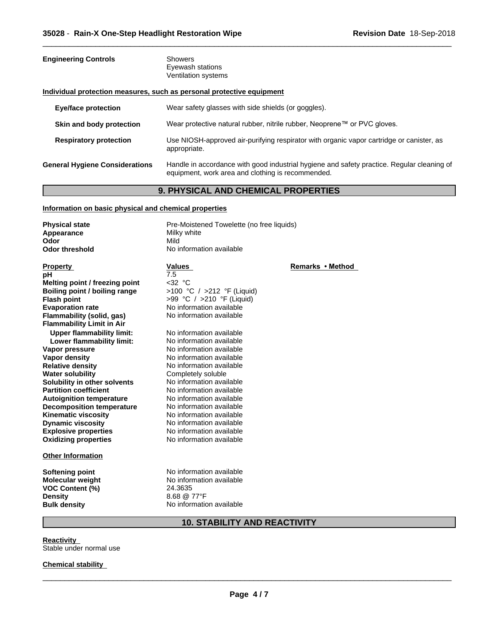| <b>Engineering Controls</b>           | <b>Showers</b><br>Eyewash stations<br>Ventilation systems                                                                                       |
|---------------------------------------|-------------------------------------------------------------------------------------------------------------------------------------------------|
|                                       | Individual protection measures, such as personal protective equipment                                                                           |
| Eye/face protection                   | Wear safety glasses with side shields (or goggles).                                                                                             |
| Skin and body protection              | Wear protective natural rubber, nitrile rubber, Neoprene™ or PVC gloves.                                                                        |
| <b>Respiratory protection</b>         | Use NIOSH-approved air-purifying respirator with organic vapor cartridge or canister, as<br>appropriate.                                        |
| <b>General Hygiene Considerations</b> | Handle in accordance with good industrial hygiene and safety practice. Regular cleaning of<br>equipment, work area and clothing is recommended. |

 $\overline{\phantom{a}}$  ,  $\overline{\phantom{a}}$  ,  $\overline{\phantom{a}}$  ,  $\overline{\phantom{a}}$  ,  $\overline{\phantom{a}}$  ,  $\overline{\phantom{a}}$  ,  $\overline{\phantom{a}}$  ,  $\overline{\phantom{a}}$  ,  $\overline{\phantom{a}}$  ,  $\overline{\phantom{a}}$  ,  $\overline{\phantom{a}}$  ,  $\overline{\phantom{a}}$  ,  $\overline{\phantom{a}}$  ,  $\overline{\phantom{a}}$  ,  $\overline{\phantom{a}}$  ,  $\overline{\phantom{a}}$ 

# **9. PHYSICAL AND CHEMICAL PROPERTIES**

#### **Information on basic physical and chemical properties**

| <b>Physical state</b>                                                                                         | Pre-Moistened Towelette (no free liquids)                                                                  |                  |
|---------------------------------------------------------------------------------------------------------------|------------------------------------------------------------------------------------------------------------|------------------|
| Appearance                                                                                                    | Milky white                                                                                                |                  |
| Odor                                                                                                          | Mild                                                                                                       |                  |
| <b>Odor threshold</b>                                                                                         | No information available                                                                                   |                  |
|                                                                                                               |                                                                                                            |                  |
| <b>Property</b>                                                                                               | Values                                                                                                     | Remarks • Method |
| рH                                                                                                            | 7.5                                                                                                        |                  |
| Melting point / freezing point                                                                                | $<$ 32 °C                                                                                                  |                  |
| Boiling point / boiling range                                                                                 | >100 °C / >212 °F (Liquid)                                                                                 |                  |
| <b>Flash point</b>                                                                                            | >99 °C / >210 °F (Liquid)                                                                                  |                  |
| <b>Evaporation rate</b>                                                                                       | No information available                                                                                   |                  |
| Flammability (solid, gas)                                                                                     | No information available                                                                                   |                  |
| <b>Flammability Limit in Air</b>                                                                              |                                                                                                            |                  |
| <b>Upper flammability limit:</b>                                                                              | No information available                                                                                   |                  |
| Lower flammability limit:                                                                                     | No information available                                                                                   |                  |
| Vapor pressure                                                                                                | No information available                                                                                   |                  |
| Vapor density                                                                                                 | No information available                                                                                   |                  |
| <b>Relative density</b>                                                                                       | No information available                                                                                   |                  |
| <b>Water solubility</b>                                                                                       | Completely soluble                                                                                         |                  |
| Solubility in other solvents                                                                                  | No information available                                                                                   |                  |
| <b>Partition coefficient</b>                                                                                  | No information available                                                                                   |                  |
| <b>Autoignition temperature</b>                                                                               | No information available                                                                                   |                  |
| <b>Decomposition temperature</b>                                                                              | No information available                                                                                   |                  |
| <b>Kinematic viscosity</b>                                                                                    | No information available                                                                                   |                  |
| <b>Dynamic viscosity</b>                                                                                      | No information available                                                                                   |                  |
| <b>Explosive properties</b>                                                                                   | No information available                                                                                   |                  |
| <b>Oxidizing properties</b>                                                                                   | No information available                                                                                   |                  |
| <b>Other Information</b>                                                                                      |                                                                                                            |                  |
| Softening point<br><b>Molecular weight</b><br><b>VOC Content (%)</b><br><b>Density</b><br><b>Bulk density</b> | No information available<br>No information available<br>24.3635<br>8.68 @ 77°F<br>No information available |                  |
|                                                                                                               |                                                                                                            |                  |

# **10. STABILITY AND REACTIVITY**

**Reactivity** Stable under normal use

#### **Chemical stability**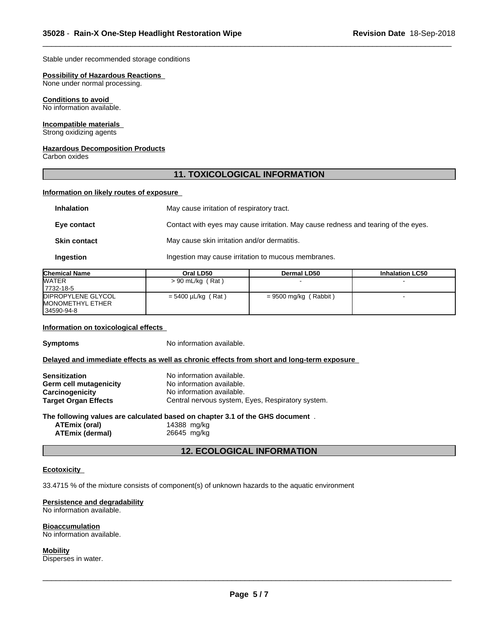Stable under recommended storage conditions

#### **Possibility of Hazardous Reactions**

None under normal processing.

#### **Conditions to avoid**

No information available.

#### **Incompatible materials**

Strong oxidizing agents

#### **Hazardous Decomposition Products**

Carbon oxides

## **11. TOXICOLOGICAL INFORMATION**

 $\overline{\phantom{a}}$  ,  $\overline{\phantom{a}}$  ,  $\overline{\phantom{a}}$  ,  $\overline{\phantom{a}}$  ,  $\overline{\phantom{a}}$  ,  $\overline{\phantom{a}}$  ,  $\overline{\phantom{a}}$  ,  $\overline{\phantom{a}}$  ,  $\overline{\phantom{a}}$  ,  $\overline{\phantom{a}}$  ,  $\overline{\phantom{a}}$  ,  $\overline{\phantom{a}}$  ,  $\overline{\phantom{a}}$  ,  $\overline{\phantom{a}}$  ,  $\overline{\phantom{a}}$  ,  $\overline{\phantom{a}}$ 

#### **Information on likely routes of exposure**

| <b>Inhalation</b>   | May cause irritation of respiratory tract.                                         |
|---------------------|------------------------------------------------------------------------------------|
| Eye contact         | Contact with eyes may cause irritation. May cause redness and tearing of the eyes. |
| <b>Skin contact</b> | May cause skin irritation and/or dermatitis.                                       |
| Ingestion           | Ingestion may cause irritation to mucous membranes.                                |

| <b>Chemical Name</b>    | Oral LD50               | Dermal LD50                 | <b>Inhalation LC50</b> |
|-------------------------|-------------------------|-----------------------------|------------------------|
| <b>WATER</b>            | $> 90$ mL/kg (Rat)      |                             |                        |
| 17732-18-5              |                         |                             |                        |
| DIPROPYLENE GLYCOL      | $= 5400 \mu L/kg$ (Rat) | Rabbit)<br>$= 9500$ mg/kg ( |                        |
| <b>MONOMETHYL ETHER</b> |                         |                             |                        |
| 34590-94-8              |                         |                             |                        |

#### **Information on toxicological effects**

**Symptoms** No information available.

#### **Delayed and immediate effects as well as chronic effects from short and long-term exposure**

| <b>Sensitization</b>        | No information available.                         |
|-----------------------------|---------------------------------------------------|
| Germ cell mutagenicity      | No information available.                         |
| <b>Carcinogenicity</b>      | No information available.                         |
| <b>Target Organ Effects</b> | Central nervous system, Eyes, Respiratory system. |

#### **The following values are calculated based on chapter 3.1 of the GHS document** .

**ATEmix (oral)** 14388 mg/kg **ATEmix** (dermal)

#### **12. ECOLOGICAL INFORMATION**

#### **Ecotoxicity**

33.4715 % of the mixture consists of component(s) of unknown hazards to the aquatic environment

#### **Persistence and degradability**

No information available.

#### **Bioaccumulation**

No information available.

#### **Mobility**

Disperses in water.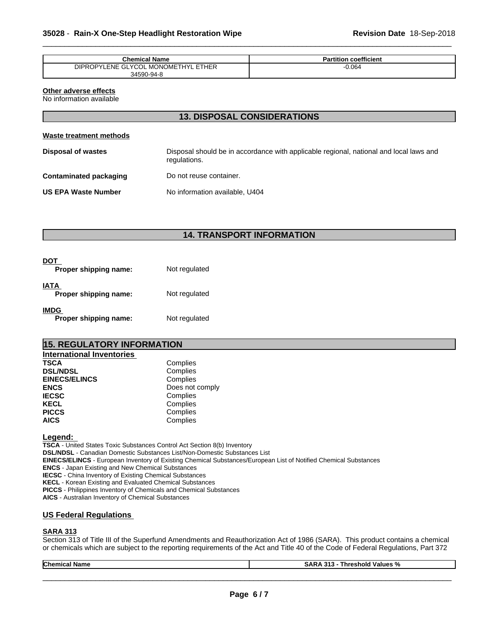| <b>Chemical Name</b>                | <b>Partition coefficient</b> |
|-------------------------------------|------------------------------|
| DIPROPYLENE GLYCOL MONOMETHYL ETHER | $-0.064$                     |
| 34590-94-8                          |                              |

 $\overline{\phantom{a}}$  ,  $\overline{\phantom{a}}$  ,  $\overline{\phantom{a}}$  ,  $\overline{\phantom{a}}$  ,  $\overline{\phantom{a}}$  ,  $\overline{\phantom{a}}$  ,  $\overline{\phantom{a}}$  ,  $\overline{\phantom{a}}$  ,  $\overline{\phantom{a}}$  ,  $\overline{\phantom{a}}$  ,  $\overline{\phantom{a}}$  ,  $\overline{\phantom{a}}$  ,  $\overline{\phantom{a}}$  ,  $\overline{\phantom{a}}$  ,  $\overline{\phantom{a}}$  ,  $\overline{\phantom{a}}$ 

# **Other adverse effects**

No information available

### **13. DISPOSAL CONSIDERATIONS**

#### **Waste treatment methods**

| <b>Disposal of wastes</b>  | Disposal should be in accordance with applicable regional, national and local laws and<br>regulations. |
|----------------------------|--------------------------------------------------------------------------------------------------------|
| Contaminated packaging     | Do not reuse container.                                                                                |
| <b>US EPA Waste Number</b> | No information available, U404                                                                         |

# **14. TRANSPORT INFORMATION**

| DOT<br>Proper shipping name:         | Not regulated |
|--------------------------------------|---------------|
| IATA<br>Proper shipping name:        | Not regulated |
| <b>IMDG</b><br>Proper shipping name: | Not regulated |

### **15. REGULATORY INFORMATION**

| <b>International Inventories</b> |                 |
|----------------------------------|-----------------|
| <b>TSCA</b>                      | Complies        |
| <b>DSL/NDSL</b>                  | Complies        |
| <b>EINECS/ELINCS</b>             | Complies        |
| <b>ENCS</b>                      | Does not comply |
| <b>IECSC</b>                     | Complies        |
| <b>KECL</b>                      | Complies        |
| <b>PICCS</b>                     | Complies        |
| <b>AICS</b>                      | Complies        |

#### **Legend:**

**TSCA** - United States Toxic Substances Control Act Section 8(b) Inventory **DSL/NDSL** - Canadian Domestic Substances List/Non-Domestic Substances List **EINECS/ELINCS** - European Inventory of Existing Chemical Substances/European List of Notified Chemical Substances **ENCS** - Japan Existing and New Chemical Substances **IECSC** - China Inventory of Existing Chemical Substances **KECL** - Korean Existing and Evaluated Chemical Substances **PICCS** - Philippines Inventory of Chemicals and Chemical Substances **AICS** - Australian Inventory of Chemical Substances

#### **US Federal Regulations**

#### **SARA 313**

Section 313 of Title III of the Superfund Amendments and Reauthorization Act of 1986 (SARA). This product contains a chemical or chemicals which are subject to the reporting requirements of the Act and Title 40 of the Code of Federal Regulations, Part 372

| <b>Chemical</b><br>- - -<br>l Name | $- -$<br>$\sim$<br>SAR.<br>- - -<br>- -<br>` Values %<br>-----<br>⊥nresholu<br>. |  |
|------------------------------------|----------------------------------------------------------------------------------|--|
|                                    |                                                                                  |  |
|                                    |                                                                                  |  |